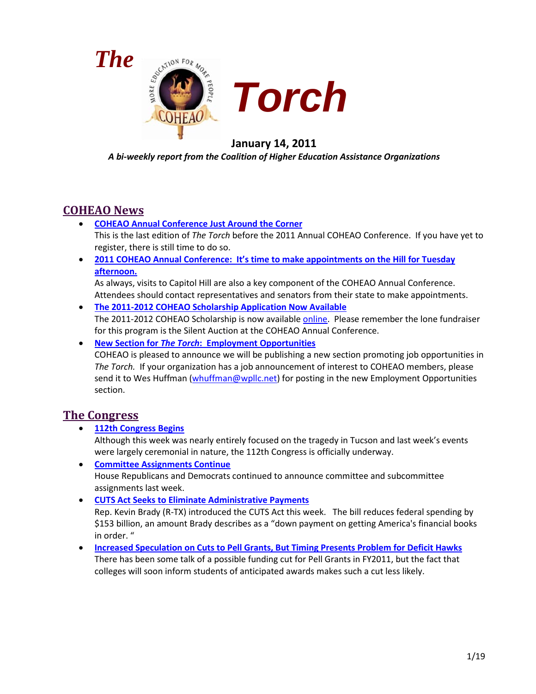



# **January 14, 2011**

*A bi-weekly report from the Coalition of Higher Education Assistance Organizations*

# **COHEAO News**

- **[COHEAO Annual Conference Just Around the Corner](#page-2-0)** This is the last edition of *The Torch* before the 2011 Annual COHEAO Conference. If you have yet to register, there is still time to do so.
- **[2011 COHEAO Annual Conference: It's time to make appointments on the Hill for Tuesday](#page-3-0)  [afternoon.](#page-3-0)**

As always, visits to Capitol Hill are also a key component of the COHEAO Annual Conference. Attendees should contact representatives and senators from their state to make appointments.

- **[The 2011-2012 COHEAO Scholarship Application Now Available](#page-3-1)** The 2011-2012 COHEAO Scholarship is now available [online.](http://www.coheao.org/scholarship/default.asp) Please remember the lone fundraiser for this program is the Silent Auction at the COHEAO Annual Conference.
- **New Section for** *The Torch***[: Employment Opportunities](#page-4-0)** COHEAO is pleased to announce we will be publishing a new section promoting job opportunities in *The Torch.* If your organization has a job announcement of interest to COHEAO members, please send it to Wes Huffman [\(whuffman@wpllc.net\)](mailto:whuffman@wpllc.net) for posting in the new Employment Opportunities section.

# **The Congress**

- **[112th Congress Begins](#page-4-1)** Although this week was nearly entirely focused on the tragedy in Tucson and last week's events were largely ceremonial in nature, the 112th Congress is officially underway.
- **[Committee Assignments Continue](#page-3-0)** House Republicans and Democrats continued to announce committee and subcommittee assignments last week.
- **[CUTS Act Seeks to Eliminate Administrative Payments](#page-6-0)** Rep. Kevin Brady (R-TX) introduced the CUTS Act this week. The bill reduces federal spending by \$153 billion, an amount Brady describes as a "down payment on getting America's financial books in order. "
- **[Increased Speculation on Cuts to Pell Grants, But Timing Presents Problem for Deficit Hawks](#page-6-1)** There has been some talk of a possible funding cut for Pell Grants in FY2011, but the fact that colleges will soon inform students of anticipated awards makes such a cut less likely.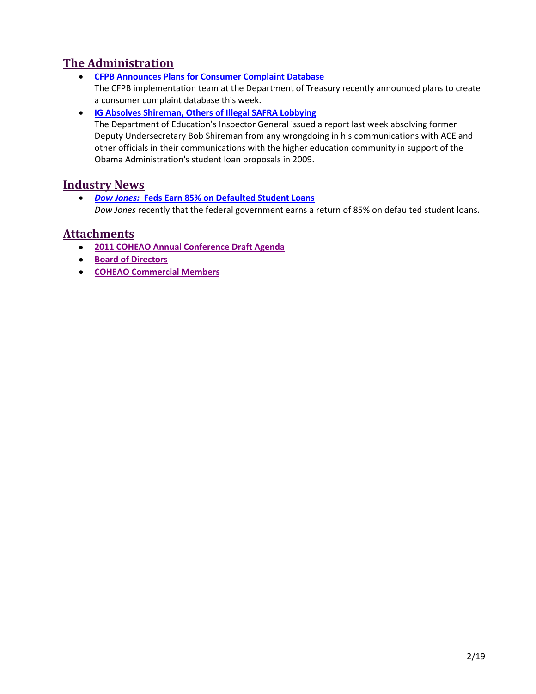# **The Administration**

- **[CFPB Announces Plans for Consumer Complaint Database](#page-7-0)** The CFPB implementation team at the Department of Treasury recently announced plans to create a consumer complaint database this week.
- **[IG Absolves Shireman, Others of Illegal SAFRA Lobbying](#page-9-0)**

The Department of Education's Inspector General issued a report last week absolving former Deputy Undersecretary Bob Shireman from any wrongdoing in his communications with ACE and other officials in their communications with the higher education community in support of the Obama Administration's student loan proposals in 2009.

# **Industry News**

• *Dow Jones:* **[Feds Earn 85% on Defaulted Student Loans](#page-9-1)** *Dow Jones* recently that the federal government earns a return of 85% on defaulted student loans.

# **Attachments**

- **[2011 COHEAO Annual Conference Draft Agenda](#page-10-0)**
- **[Board of Directors](#page-2-1)**
- **[COHEAO Commercial Members](#page-17-0)**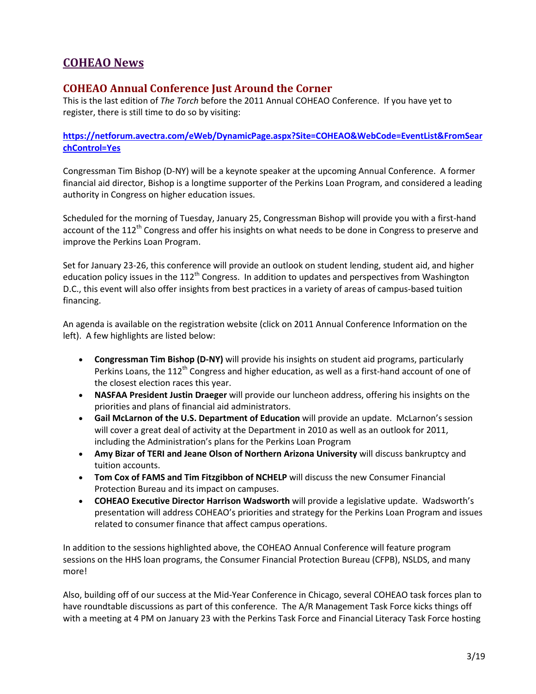# <span id="page-2-1"></span>**COHEAO News**

### <span id="page-2-0"></span>**COHEAO Annual Conference Just Around the Corner**

This is the last edition of *The Torch* before the 2011 Annual COHEAO Conference. If you have yet to register, there is still time to do so by visiting:

**[https://netforum.avectra.com/eWeb/DynamicPage.aspx?Site=COHEAO&WebCode=EventList&FromSear](https://netforum.avectra.com/eWeb/DynamicPage.aspx?Site=COHEAO&WebCode=EventList&FromSearchControl=Yes) [chControl=Yes](https://netforum.avectra.com/eWeb/DynamicPage.aspx?Site=COHEAO&WebCode=EventList&FromSearchControl=Yes)**

Congressman Tim Bishop (D-NY) will be a keynote speaker at the upcoming Annual Conference. A former financial aid director, Bishop is a longtime supporter of the Perkins Loan Program, and considered a leading authority in Congress on higher education issues.

Scheduled for the morning of Tuesday, January 25, Congressman Bishop will provide you with a first-hand account of the 112<sup>th</sup> Congress and offer his insights on what needs to be done in Congress to preserve and improve the Perkins Loan Program.

Set for January 23-26, this conference will provide an outlook on student lending, student aid, and higher education policy issues in the  $112<sup>th</sup>$  Congress. In addition to updates and perspectives from Washington D.C., this event will also offer insights from best practices in a variety of areas of campus-based tuition financing.

An agenda is available on the registration website (click on 2011 Annual Conference Information on the left). A few highlights are listed below:

- **Congressman Tim Bishop (D-NY)** will provide his insights on student aid programs, particularly Perkins Loans, the 112<sup>th</sup> Congress and higher education, as well as a first-hand account of one of the closest election races this year.
- **NASFAA President Justin Draeger** will provide our luncheon address, offering his insights on the priorities and plans of financial aid administrators.
- **Gail McLarnon of the U.S. Department of Education** will provide an update. McLarnon's session will cover a great deal of activity at the Department in 2010 as well as an outlook for 2011, including the Administration's plans for the Perkins Loan Program
- **Amy Bizar of TERI and Jeane Olson of Northern Arizona University** will discuss bankruptcy and tuition accounts.
- **Tom Cox of FAMS and Tim Fitzgibbon of NCHELP** will discuss the new Consumer Financial Protection Bureau and its impact on campuses.
- **COHEAO Executive Director Harrison Wadsworth** will provide a legislative update. Wadsworth's presentation will address COHEAO's priorities and strategy for the Perkins Loan Program and issues related to consumer finance that affect campus operations.

In addition to the sessions highlighted above, the COHEAO Annual Conference will feature program sessions on the HHS loan programs, the Consumer Financial Protection Bureau (CFPB), NSLDS, and many more!

Also, building off of our success at the Mid-Year Conference in Chicago, several COHEAO task forces plan to have roundtable discussions as part of this conference. The A/R Management Task Force kicks things off with a meeting at 4 PM on January 23 with the Perkins Task Force and Financial Literacy Task Force hosting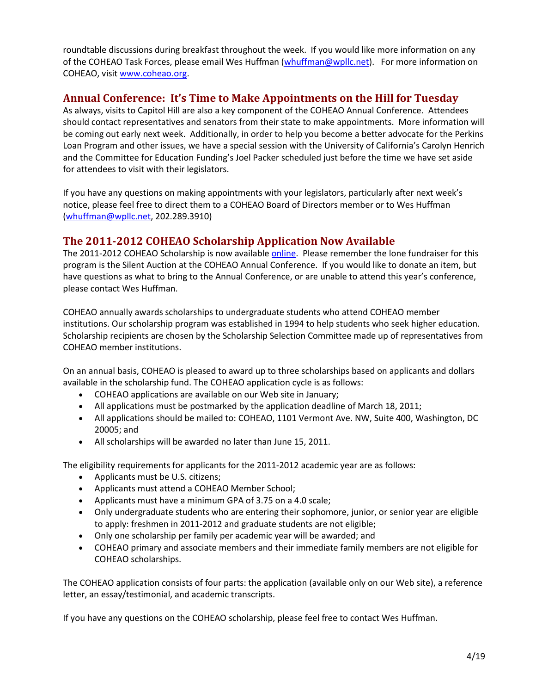roundtable discussions during breakfast throughout the week. If you would like more information on any of the COHEAO Task Forces, please email Wes Huffman [\(whuffman@wpllc.net\)](mailto:whuffman@wpllc.net). For more information on COHEAO, visi[t www.coheao.org.](http://mail.wpllc.net/exchweb/bin/redir.asp?URL=http://www.coheao.org)

### <span id="page-3-0"></span>**Annual Conference: It's Time to Make Appointments on the Hill for Tuesday**

As always, visits to Capitol Hill are also a key component of the COHEAO Annual Conference. Attendees should contact representatives and senators from their state to make appointments. More information will be coming out early next week. Additionally, in order to help you become a better advocate for the Perkins Loan Program and other issues, we have a special session with the University of California's Carolyn Henrich and the Committee for Education Funding's Joel Packer scheduled just before the time we have set aside for attendees to visit with their legislators.

If you have any questions on making appointments with your legislators, particularly after next week's notice, please feel free to direct them to a COHEAO Board of Directors member or to Wes Huffman [\(whuffman@wpllc.net,](mailto:whuffman@wpllc.net) 202.289.3910)

# <span id="page-3-1"></span>**The 2011-2012 COHEAO Scholarship Application Now Available**

The 2011-2012 COHEAO Scholarship is now available [online.](http://www.coheao.org/scholarship/default.asp) Please remember the lone fundraiser for this program is the Silent Auction at the COHEAO Annual Conference. If you would like to donate an item, but have questions as what to bring to the Annual Conference, or are unable to attend this year's conference, please contact Wes Huffman.

COHEAO annually awards scholarships to undergraduate students who attend COHEAO member institutions. Our scholarship program was established in 1994 to help students who seek higher education. Scholarship recipients are chosen by the Scholarship Selection Committee made up of representatives from COHEAO member institutions.

On an annual basis, COHEAO is pleased to award up to three scholarships based on applicants and dollars available in the scholarship fund. The COHEAO application cycle is as follows:

- COHEAO applications are available on our Web site in January;
- All applications must be postmarked by the application deadline of March 18, 2011;
- All applications should be mailed to: COHEAO, 1101 Vermont Ave. NW, Suite 400, Washington, DC 20005; and
- All scholarships will be awarded no later than June 15, 2011.

The eligibility requirements for applicants for the 2011-2012 academic year are as follows:

- Applicants must be U.S. citizens;
- Applicants must attend a COHEAO Member School;
- Applicants must have a minimum GPA of 3.75 on a 4.0 scale;
- Only undergraduate students who are entering their sophomore, junior, or senior year are eligible to apply: freshmen in 2011-2012 and graduate students are not eligible;
- Only one scholarship per family per academic year will be awarded; and
- COHEAO primary and associate members and their immediate family members are not eligible for COHEAO scholarships.

The COHEAO application consists of four parts: the application (available only on our Web site), a reference letter, an essay/testimonial, and academic transcripts.

If you have any questions on the COHEAO scholarship, please feel free to contact Wes Huffman.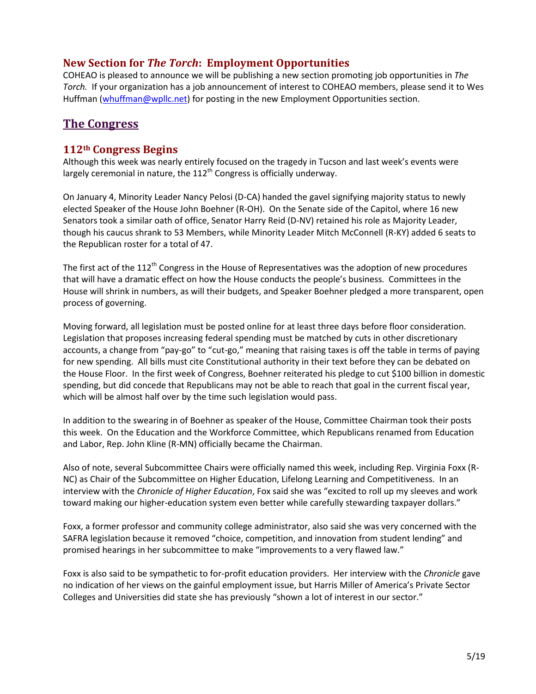### <span id="page-4-0"></span>**New Section for** *The Torch***: Employment Opportunities**

COHEAO is pleased to announce we will be publishing a new section promoting job opportunities in *The Torch.* If your organization has a job announcement of interest to COHEAO members, please send it to Wes Huffman [\(whuffman@wpllc.net\)](mailto:whuffman@wpllc.net) for posting in the new Employment Opportunities section.

### **The Congress**

#### <span id="page-4-1"></span>**112th Congress Begins**

Although this week was nearly entirely focused on the tragedy in Tucson and last week's events were largely ceremonial in nature, the  $112^{th}$  Congress is officially underway.

On January 4, Minority Leader Nancy Pelosi (D-CA) handed the gavel signifying majority status to newly elected Speaker of the House John Boehner (R-OH). On the Senate side of the Capitol, where 16 new Senators took a similar oath of office, Senator Harry Reid (D-NV) retained his role as Majority Leader, though his caucus shrank to 53 Members, while Minority Leader Mitch McConnell (R-KY) added 6 seats to the Republican roster for a total of 47.

The first act of the 112<sup>th</sup> Congress in the House of Representatives was the adoption of new procedures that will have a dramatic effect on how the House conducts the people's business. Committees in the House will shrink in numbers, as will their budgets, and Speaker Boehner pledged a more transparent, open process of governing.

Moving forward, all legislation must be posted online for at least three days before floor consideration. Legislation that proposes increasing federal spending must be matched by cuts in other discretionary accounts, a change from "pay-go" to "cut-go," meaning that raising taxes is off the table in terms of paying for new spending. All bills must cite Constitutional authority in their text before they can be debated on the House Floor. In the first week of Congress, Boehner reiterated his pledge to cut \$100 billion in domestic spending, but did concede that Republicans may not be able to reach that goal in the current fiscal year, which will be almost half over by the time such legislation would pass.

In addition to the swearing in of Boehner as speaker of the House, Committee Chairman took their posts this week. On the Education and the Workforce Committee, which Republicans renamed from Education and Labor, Rep. John Kline (R-MN) officially became the Chairman.

Also of note, several Subcommittee Chairs were officially named this week, including Rep. Virginia Foxx (R-NC) as Chair of the Subcommittee on Higher Education, Lifelong Learning and Competitiveness. In an interview with the *Chronicle of Higher Education*, Fox said she was "excited to roll up my sleeves and work toward making our higher-education system even better while carefully stewarding taxpayer dollars."

Foxx, a former professor and community college administrator, also said she was very concerned with the SAFRA legislation because it removed "choice, competition, and innovation from student lending" and promised hearings in her subcommittee to make "improvements to a very flawed law."

Foxx is also said to be sympathetic to for-profit education providers. Her interview with the *Chronicle* gave no indication of her views on the gainful employment issue, but Harris Miller of America's Private Sector Colleges and Universities did state she has previously "shown a lot of interest in our sector."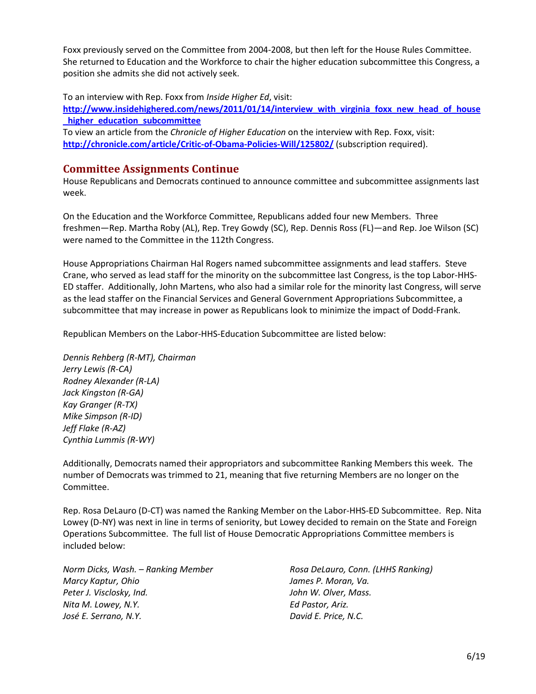Foxx previously served on the Committee from 2004-2008, but then left for the House Rules Committee. She returned to Education and the Workforce to chair the higher education subcommittee this Congress, a position she admits she did not actively seek.

To an interview with Rep. Foxx from *Inside Higher Ed*, visit:

**[http://www.insidehighered.com/news/2011/01/14/interview\\_with\\_virginia\\_foxx\\_new\\_head\\_of\\_house](http://www.insidehighered.com/news/2011/01/14/interview_with_virginia_foxx_new_head_of_house_higher_education_subcommittee) [\\_higher\\_education\\_subcommittee](http://www.insidehighered.com/news/2011/01/14/interview_with_virginia_foxx_new_head_of_house_higher_education_subcommittee)**

To view an article from the *Chronicle of Higher Education* on the interview with Rep. Foxx, visit: **<http://chronicle.com/article/Critic-of-Obama-Policies-Will/125802/>** (subscription required).

#### **Committee Assignments Continue**

House Republicans and Democrats continued to announce committee and subcommittee assignments last week.

On the Education and the Workforce Committee, Republicans added four new Members. Three freshmen—Rep. Martha Roby (AL), Rep. Trey Gowdy (SC), Rep. Dennis Ross (FL)—and Rep. Joe Wilson (SC) were named to the Committee in the 112th Congress.

House Appropriations Chairman Hal Rogers named subcommittee assignments and lead staffers. Steve Crane, who served as lead staff for the minority on the subcommittee last Congress, is the top Labor-HHS-ED staffer. Additionally, John Martens, who also had a similar role for the minority last Congress, will serve as the lead staffer on the Financial Services and General Government Appropriations Subcommittee, a subcommittee that may increase in power as Republicans look to minimize the impact of Dodd-Frank.

Republican Members on the Labor-HHS-Education Subcommittee are listed below:

*Dennis Rehberg (R-MT), Chairman Jerry Lewis (R-CA) Rodney Alexander (R-LA) Jack Kingston (R-GA) Kay Granger (R-TX) Mike Simpson (R-ID) Jeff Flake (R-AZ) Cynthia Lummis (R-WY)*

Additionally, Democrats named their appropriators and subcommittee Ranking Members this week. The number of Democrats was trimmed to 21, meaning that five returning Members are no longer on the Committee.

Rep. Rosa DeLauro (D-CT) was named the Ranking Member on the Labor-HHS-ED Subcommittee. Rep. Nita Lowey (D-NY) was next in line in terms of seniority, but Lowey decided to remain on the State and Foreign Operations Subcommittee. The full list of House Democratic Appropriations Committee members is included below:

*Norm Dicks, Wash. – Ranking Member Marcy Kaptur, Ohio Peter J. Visclosky, Ind. Nita M. Lowey, N.Y. José E. Serrano, N.Y.*

*Rosa DeLauro, Conn. (LHHS Ranking) James P. Moran, Va. John W. Olver, Mass. Ed Pastor, Ariz. David E. Price, N.C.*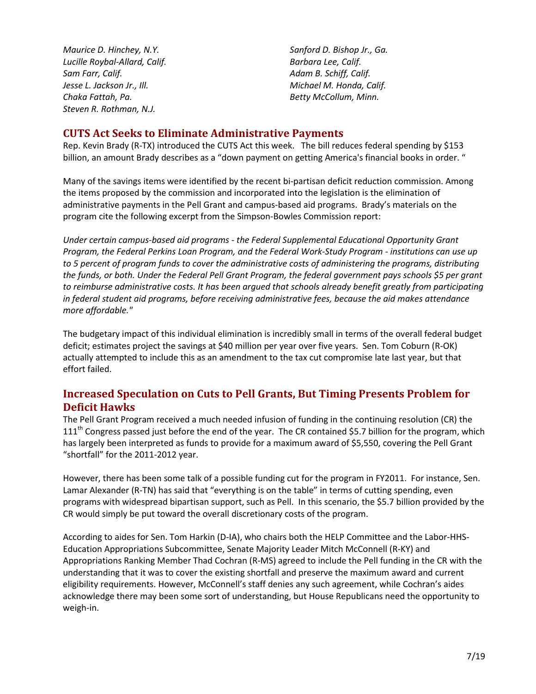*Maurice D. Hinchey, N.Y. Lucille Roybal-Allard, Calif. Sam Farr, Calif. Jesse L. Jackson Jr., Ill. Chaka Fattah, Pa. Steven R. Rothman, N.J.*

*Sanford D. Bishop Jr., Ga. Barbara Lee, Calif. Adam B. Schiff, Calif. Michael M. Honda, Calif. Betty McCollum, Minn.*

#### <span id="page-6-0"></span>**CUTS Act Seeks to Eliminate Administrative Payments**

Rep. Kevin Brady (R-TX) introduced the CUTS Act this week. The bill reduces federal spending by \$153 billion, an amount Brady describes as a "down payment on getting America's financial books in order. "

Many of the savings items were identified by the recent bi-partisan deficit reduction commission. Among the items proposed by the commission and incorporated into the legislation is the elimination of administrative payments in the Pell Grant and campus-based aid programs. Brady's materials on the program cite the following excerpt from the Simpson-Bowles Commission report:

*Under certain campus-based aid programs - the Federal Supplemental Educational Opportunity Grant Program, the Federal Perkins Loan Program, and the Federal Work-Study Program - institutions can use up to 5 percent of program funds to cover the administrative costs of administering the programs, distributing the funds, or both. Under the Federal Pell Grant Program, the federal government pays schools \$5 per grant*  to reimburse administrative costs. It has been argued that schools already benefit greatly from participating *in federal student aid programs, before receiving administrative fees, because the aid makes attendance more affordable."*

The budgetary impact of this individual elimination is incredibly small in terms of the overall federal budget deficit; estimates project the savings at \$40 million per year over five years. Sen. Tom Coburn (R-OK) actually attempted to include this as an amendment to the tax cut compromise late last year, but that effort failed.

# <span id="page-6-1"></span>**Increased Speculation on Cuts to Pell Grants, But Timing Presents Problem for Deficit Hawks**

The Pell Grant Program received a much needed infusion of funding in the continuing resolution (CR) the 111<sup>th</sup> Congress passed just before the end of the year. The CR contained \$5.7 billion for the program, which has largely been interpreted as funds to provide for a maximum award of \$5,550, covering the Pell Grant "shortfall" for the 2011-2012 year.

However, there has been some talk of a possible funding cut for the program in FY2011. For instance, Sen. Lamar Alexander (R-TN) has said that "everything is on the table" in terms of cutting spending, even programs with widespread bipartisan support, such as Pell. In this scenario, the \$5.7 billion provided by the CR would simply be put toward the overall discretionary costs of the program.

According to aides for Sen. Tom Harkin (D-IA), who chairs both the HELP Committee and the Labor-HHS-Education Appropriations Subcommittee, Senate Majority Leader Mitch McConnell (R-KY) and Appropriations Ranking Member Thad Cochran (R-MS) agreed to include the Pell funding in the CR with the understanding that it was to cover the existing shortfall and preserve the maximum award and current eligibility requirements. However, McConnell's staff denies any such agreement, while Cochran's aides acknowledge there may been some sort of understanding, but House Republicans need the opportunity to weigh-in.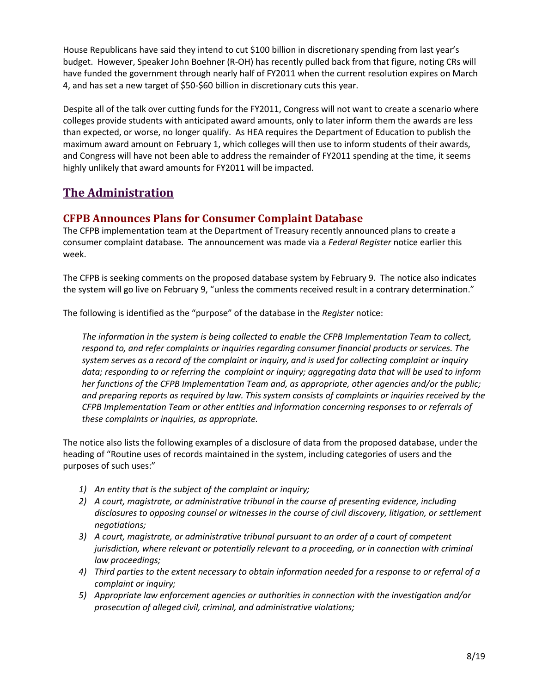House Republicans have said they intend to cut \$100 billion in discretionary spending from last year's budget. However, Speaker John Boehner (R-OH) has recently pulled back from that figure, noting CRs will have funded the government through nearly half of FY2011 when the current resolution expires on March 4, and has set a new target of \$50-\$60 billion in discretionary cuts this year.

Despite all of the talk over cutting funds for the FY2011, Congress will not want to create a scenario where colleges provide students with anticipated award amounts, only to later inform them the awards are less than expected, or worse, no longer qualify. As HEA requires the Department of Education to publish the maximum award amount on February 1, which colleges will then use to inform students of their awards, and Congress will have not been able to address the remainder of FY2011 spending at the time, it seems highly unlikely that award amounts for FY2011 will be impacted.

# **The Administration**

### <span id="page-7-0"></span>**CFPB Announces Plans for Consumer Complaint Database**

The CFPB implementation team at the Department of Treasury recently announced plans to create a consumer complaint database. The announcement was made via a *Federal Register* notice earlier this week.

The CFPB is seeking comments on the proposed database system by February 9. The notice also indicates the system will go live on February 9, "unless the comments received result in a contrary determination."

The following is identified as the "purpose" of the database in the *Register* notice:

*The information in the system is being collected to enable the CFPB Implementation Team to collect, respond to, and refer complaints or inquiries regarding consumer financial products or services. The system serves as a record of the complaint or inquiry, and is used for collecting complaint or inquiry data; responding to or referring the complaint or inquiry; aggregating data that will be used to inform her functions of the CFPB Implementation Team and, as appropriate, other agencies and/or the public; and preparing reports as required by law. This system consists of complaints or inquiries received by the CFPB Implementation Team or other entities and information concerning responses to or referrals of these complaints or inquiries, as appropriate.*

The notice also lists the following examples of a disclosure of data from the proposed database, under the heading of "Routine uses of records maintained in the system, including categories of users and the purposes of such uses:"

- *1) An entity that is the subject of the complaint or inquiry;*
- *2) A court, magistrate, or administrative tribunal in the course of presenting evidence, including disclosures to opposing counsel or witnesses in the course of civil discovery, litigation, or settlement negotiations;*
- *3) A court, magistrate, or administrative tribunal pursuant to an order of a court of competent jurisdiction, where relevant or potentially relevant to a proceeding, or in connection with criminal law proceedings;*
- *4) Third parties to the extent necessary to obtain information needed for a response to or referral of a complaint or inquiry;*
- *5) Appropriate law enforcement agencies or authorities in connection with the investigation and/or prosecution of alleged civil, criminal, and administrative violations;*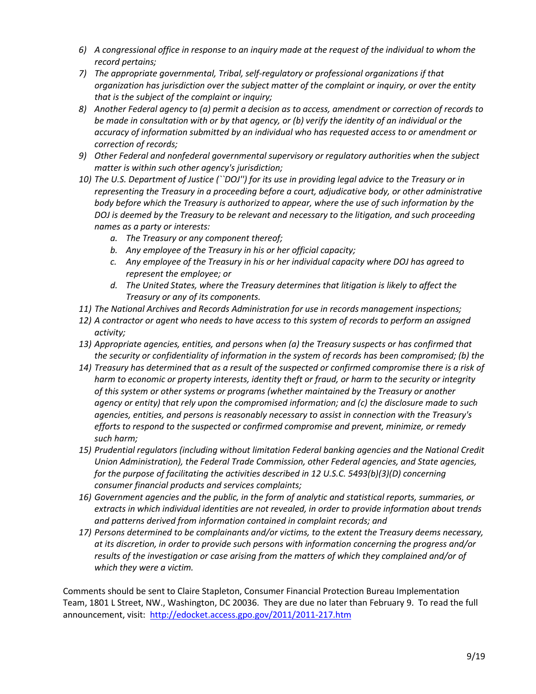- *6) A congressional office in response to an inquiry made at the request of the individual to whom the record pertains;*
- *7) The appropriate governmental, Tribal, self-regulatory or professional organizations if that organization has jurisdiction over the subject matter of the complaint or inquiry, or over the entity that is the subject of the complaint or inquiry;*
- *8) Another Federal agency to (a) permit a decision as to access, amendment or correction of records to be made in consultation with or by that agency, or (b) verify the identity of an individual or the accuracy of information submitted by an individual who has requested access to or amendment or correction of records;*
- *9) Other Federal and nonfederal governmental supervisory or regulatory authorities when the subject matter is within such other agency's jurisdiction;*
- *10) The U.S. Department of Justice (``DOJ'') for its use in providing legal advice to the Treasury or in representing the Treasury in a proceeding before a court, adjudicative body, or other administrative body before which the Treasury is authorized to appear, where the use of such information by the DOJ is deemed by the Treasury to be relevant and necessary to the litigation, and such proceeding names as a party or interests:*
	- *a. The Treasury or any component thereof;*
	- *b. Any employee of the Treasury in his or her official capacity;*
	- *c. Any employee of the Treasury in his or her individual capacity where DOJ has agreed to represent the employee; or*
	- *d. The United States, where the Treasury determines that litigation is likely to affect the Treasury or any of its components.*
- *11) The National Archives and Records Administration for use in records management inspections;*
- *12) A contractor or agent who needs to have access to this system of records to perform an assigned activity;*
- *13) Appropriate agencies, entities, and persons when (a) the Treasury suspects or has confirmed that the security or confidentiality of information in the system of records has been compromised; (b) the*
- *14) Treasury has determined that as a result of the suspected or confirmed compromise there is a risk of harm to economic or property interests, identity theft or fraud, or harm to the security or integrity of this system or other systems or programs (whether maintained by the Treasury or another agency or entity) that rely upon the compromised information; and (c) the disclosure made to such agencies, entities, and persons is reasonably necessary to assist in connection with the Treasury's efforts to respond to the suspected or confirmed compromise and prevent, minimize, or remedy such harm;*
- *15) Prudential regulators (including without limitation Federal banking agencies and the National Credit Union Administration), the Federal Trade Commission, other Federal agencies, and State agencies, for the purpose of facilitating the activities described in 12 U.S.C. 5493(b)(3)(D) concerning consumer financial products and services complaints;*
- *16) Government agencies and the public, in the form of analytic and statistical reports, summaries, or extracts in which individual identities are not revealed, in order to provide information about trends and patterns derived from information contained in complaint records; and*
- *17) Persons determined to be complainants and/or victims, to the extent the Treasury deems necessary, at its discretion, in order to provide such persons with information concerning the progress and/or results of the investigation or case arising from the matters of which they complained and/or of which they were a victim.*

Comments should be sent to Claire Stapleton, Consumer Financial Protection Bureau Implementation Team, 1801 L Street, NW., Washington, DC 20036. They are due no later than February 9. To read the full announcement, visit: <http://edocket.access.gpo.gov/2011/2011-217.htm>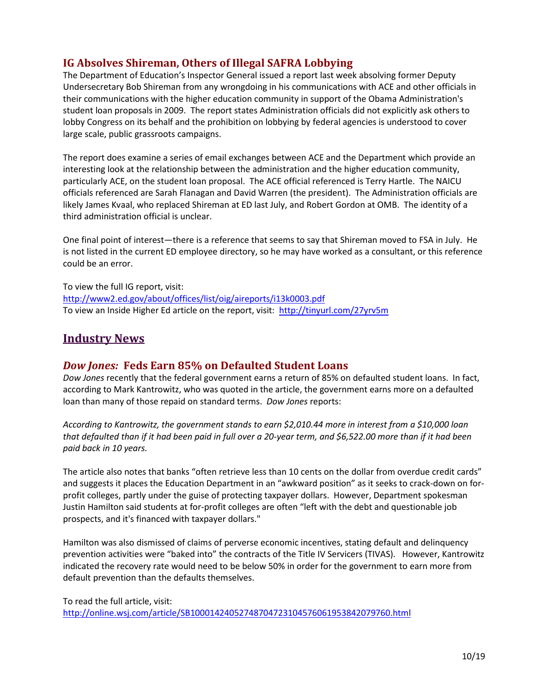# <span id="page-9-0"></span>**IG Absolves Shireman, Others of Illegal SAFRA Lobbying**

The Department of Education's Inspector General issued a report last week absolving former Deputy Undersecretary Bob Shireman from any wrongdoing in his communications with ACE and other officials in their communications with the higher education community in support of the Obama Administration's student loan proposals in 2009. The report states Administration officials did not explicitly ask others to lobby Congress on its behalf and the prohibition on lobbying by federal agencies is understood to cover large scale, public grassroots campaigns.

The report does examine a series of email exchanges between ACE and the Department which provide an interesting look at the relationship between the administration and the higher education community, particularly ACE, on the student loan proposal. The ACE official referenced is Terry Hartle. The NAICU officials referenced are Sarah Flanagan and David Warren (the president). The Administration officials are likely James Kvaal, who replaced Shireman at ED last July, and Robert Gordon at OMB. The identity of a third administration official is unclear.

One final point of interest—there is a reference that seems to say that Shireman moved to FSA in July. He is not listed in the current ED employee directory, so he may have worked as a consultant, or this reference could be an error.

To view the full IG report, visit: <http://www2.ed.gov/about/offices/list/oig/aireports/i13k0003.pdf> To view an Inside Higher Ed article on the report, visit: <http://tinyurl.com/27yrv5m>

# **Industry News**

#### <span id="page-9-1"></span>*Dow Jones:* **Feds Earn 85% on Defaulted Student Loans**

*Dow Jones* recently that the federal government earns a return of 85% on defaulted student loans. In fact, according to Mark Kantrowitz, who was quoted in the article, the government earns more on a defaulted loan than many of those repaid on standard terms. *Dow Jones* reports:

*According to Kantrowitz, the government stands to earn \$2,010.44 more in interest from a \$10,000 loan that defaulted than if it had been paid in full over a 20-year term, and \$6,522.00 more than if it had been paid back in 10 years.*

The article also notes that banks "often retrieve less than 10 cents on the dollar from overdue credit cards" and suggests it places the Education Department in an "awkward position" as it seeks to crack-down on forprofit colleges, partly under the guise of protecting taxpayer dollars. However, Department spokesman Justin Hamilton said students at for-profit colleges are often "left with the debt and questionable job prospects, and it's financed with taxpayer dollars."

Hamilton was also dismissed of claims of perverse economic incentives, stating default and delinquency prevention activities were "baked into" the contracts of the Title IV Servicers (TIVAS). However, Kantrowitz indicated the recovery rate would need to be below 50% in order for the government to earn more from default prevention than the defaults themselves.

To read the full article, visit: <http://online.wsj.com/article/SB10001424052748704723104576061953842079760.html>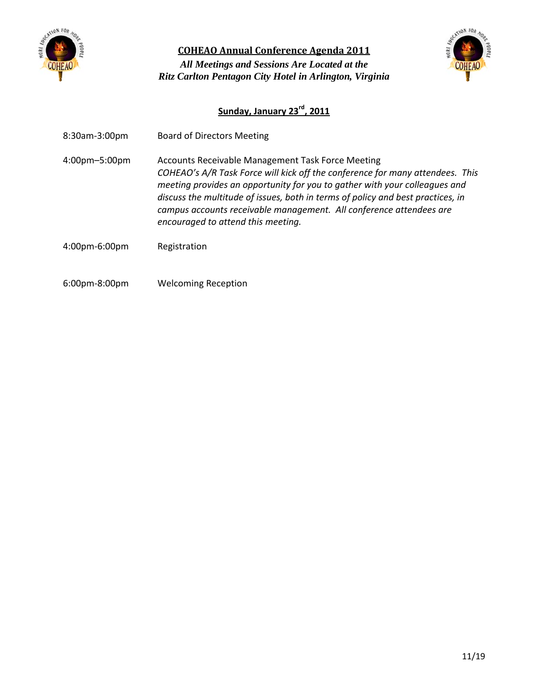

<span id="page-10-0"></span>**COHEAO Annual Conference Agenda 2011** *All Meetings and Sessions Are Located at the Ritz Carlton Pentagon City Hotel in Arlington, Virginia* 



### **Sunday, January 23rd, 2011**

- 8:30am-3:00pm Board of Directors Meeting
- 4:00pm–5:00pm Accounts Receivable Management Task Force Meeting *COHEAO's A/R Task Force will kick off the conference for many attendees. This meeting provides an opportunity for you to gather with your colleagues and discuss the multitude of issues, both in terms of policy and best practices, in campus accounts receivable management. All conference attendees are encouraged to attend this meeting.*
- 4:00pm-6:00pm Registration
- 6:00pm-8:00pm Welcoming Reception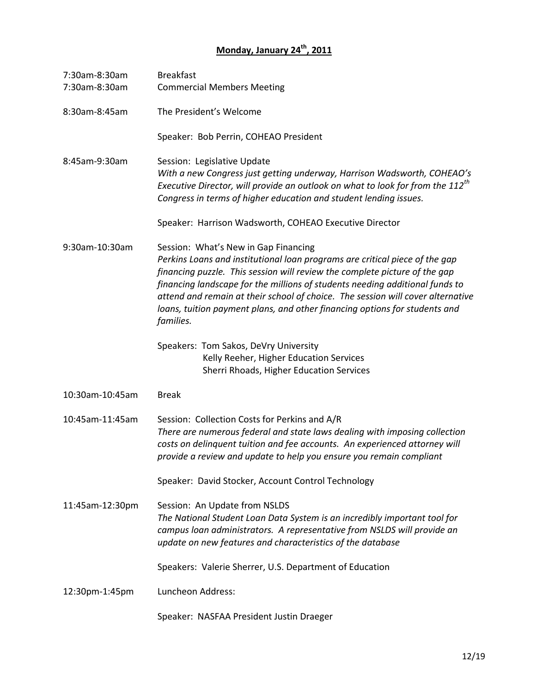# **Monday, January 24<sup>th</sup>, 2011**

| 7:30am-8:30am<br>7:30am-8:30am | <b>Breakfast</b><br><b>Commercial Members Meeting</b>                                                                                                                                                                                                                                                                                                                                                                                                           |
|--------------------------------|-----------------------------------------------------------------------------------------------------------------------------------------------------------------------------------------------------------------------------------------------------------------------------------------------------------------------------------------------------------------------------------------------------------------------------------------------------------------|
| 8:30am-8:45am                  | The President's Welcome                                                                                                                                                                                                                                                                                                                                                                                                                                         |
|                                | Speaker: Bob Perrin, COHEAO President                                                                                                                                                                                                                                                                                                                                                                                                                           |
| 8:45am-9:30am                  | Session: Legislative Update<br>With a new Congress just getting underway, Harrison Wadsworth, COHEAO's<br>Executive Director, will provide an outlook on what to look for from the $112^{th}$<br>Congress in terms of higher education and student lending issues.                                                                                                                                                                                              |
|                                | Speaker: Harrison Wadsworth, COHEAO Executive Director                                                                                                                                                                                                                                                                                                                                                                                                          |
| 9:30am-10:30am                 | Session: What's New in Gap Financing<br>Perkins Loans and institutional loan programs are critical piece of the gap<br>financing puzzle. This session will review the complete picture of the gap<br>financing landscape for the millions of students needing additional funds to<br>attend and remain at their school of choice. The session will cover alternative<br>loans, tuition payment plans, and other financing options for students and<br>families. |
|                                | Speakers: Tom Sakos, DeVry University<br>Kelly Reeher, Higher Education Services<br>Sherri Rhoads, Higher Education Services                                                                                                                                                                                                                                                                                                                                    |
| 10:30am-10:45am                | <b>Break</b>                                                                                                                                                                                                                                                                                                                                                                                                                                                    |
| 10:45am-11:45am                | Session: Collection Costs for Perkins and A/R<br>There are numerous federal and state laws dealing with imposing collection<br>costs on delinquent tuition and fee accounts. An experienced attorney will<br>provide a review and update to help you ensure you remain compliant                                                                                                                                                                                |
|                                | Speaker: David Stocker, Account Control Technology                                                                                                                                                                                                                                                                                                                                                                                                              |
| 11:45am-12:30pm                | Session: An Update from NSLDS<br>The National Student Loan Data System is an incredibly important tool for<br>campus loan administrators. A representative from NSLDS will provide an<br>update on new features and characteristics of the database                                                                                                                                                                                                             |
|                                | Speakers: Valerie Sherrer, U.S. Department of Education                                                                                                                                                                                                                                                                                                                                                                                                         |
| 12:30pm-1:45pm                 | Luncheon Address:                                                                                                                                                                                                                                                                                                                                                                                                                                               |
|                                | Speaker: NASFAA President Justin Draeger                                                                                                                                                                                                                                                                                                                                                                                                                        |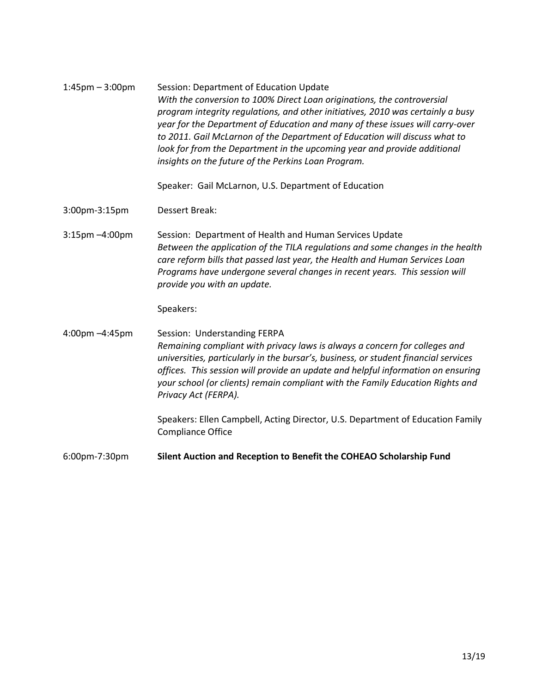| $1:45$ pm $-3:00$ pm | Session: Department of Education Update<br>With the conversion to 100% Direct Loan originations, the controversial<br>program integrity regulations, and other initiatives, 2010 was certainly a busy<br>year for the Department of Education and many of these issues will carry-over<br>to 2011. Gail McLarnon of the Department of Education will discuss what to<br>look for from the Department in the upcoming year and provide additional<br>insights on the future of the Perkins Loan Program.<br>Speaker: Gail McLarnon, U.S. Department of Education |
|----------------------|-----------------------------------------------------------------------------------------------------------------------------------------------------------------------------------------------------------------------------------------------------------------------------------------------------------------------------------------------------------------------------------------------------------------------------------------------------------------------------------------------------------------------------------------------------------------|
| 3:00pm-3:15pm        | <b>Dessert Break:</b>                                                                                                                                                                                                                                                                                                                                                                                                                                                                                                                                           |
| 3:15pm -4:00pm       | Session: Department of Health and Human Services Update<br>Between the application of the TILA regulations and some changes in the health<br>care reform bills that passed last year, the Health and Human Services Loan<br>Programs have undergone several changes in recent years. This session will<br>provide you with an update.<br>Speakers:                                                                                                                                                                                                              |
| 4:00pm -4:45pm       | Session: Understanding FERPA<br>Remaining compliant with privacy laws is always a concern for colleges and<br>universities, particularly in the bursar's, business, or student financial services<br>offices. This session will provide an update and helpful information on ensuring<br>your school (or clients) remain compliant with the Family Education Rights and<br>Privacy Act (FERPA).<br>Speakers: Ellen Campbell, Acting Director, U.S. Department of Education Family<br><b>Compliance Office</b>                                                   |
| 6:00pm-7:30pm        | Silent Auction and Reception to Benefit the COHEAO Scholarship Fund                                                                                                                                                                                                                                                                                                                                                                                                                                                                                             |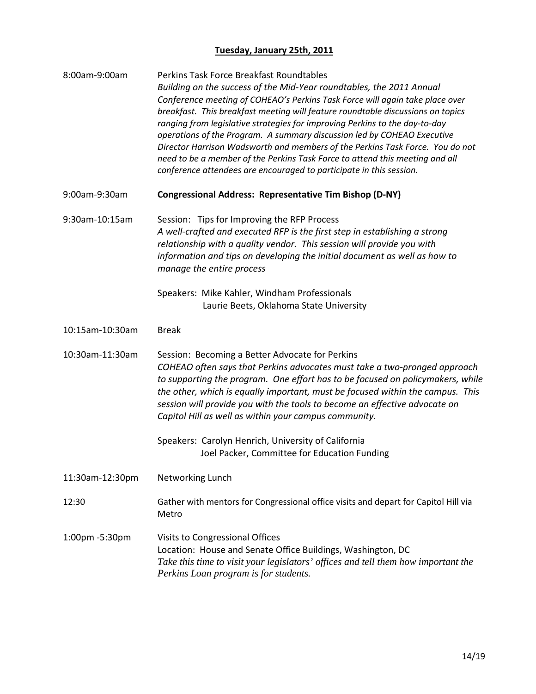## **Tuesday, January 25th, 2011**

| 8:00am-9:00am   | Perkins Task Force Breakfast Roundtables<br>Building on the success of the Mid-Year roundtables, the 2011 Annual<br>Conference meeting of COHEAO's Perkins Task Force will again take place over<br>breakfast. This breakfast meeting will feature roundtable discussions on topics<br>ranging from legislative strategies for improving Perkins to the day-to-day<br>operations of the Program. A summary discussion led by COHEAO Executive<br>Director Harrison Wadsworth and members of the Perkins Task Force. You do not<br>need to be a member of the Perkins Task Force to attend this meeting and all<br>conference attendees are encouraged to participate in this session. |
|-----------------|---------------------------------------------------------------------------------------------------------------------------------------------------------------------------------------------------------------------------------------------------------------------------------------------------------------------------------------------------------------------------------------------------------------------------------------------------------------------------------------------------------------------------------------------------------------------------------------------------------------------------------------------------------------------------------------|
| 9:00am-9:30am   | <b>Congressional Address: Representative Tim Bishop (D-NY)</b>                                                                                                                                                                                                                                                                                                                                                                                                                                                                                                                                                                                                                        |
| 9:30am-10:15am  | Session: Tips for Improving the RFP Process<br>A well-crafted and executed RFP is the first step in establishing a strong<br>relationship with a quality vendor. This session will provide you with<br>information and tips on developing the initial document as well as how to<br>manage the entire process                                                                                                                                                                                                                                                                                                                                                                         |
|                 | Speakers: Mike Kahler, Windham Professionals<br>Laurie Beets, Oklahoma State University                                                                                                                                                                                                                                                                                                                                                                                                                                                                                                                                                                                               |
| 10:15am-10:30am | <b>Break</b>                                                                                                                                                                                                                                                                                                                                                                                                                                                                                                                                                                                                                                                                          |
| 10:30am-11:30am | Session: Becoming a Better Advocate for Perkins<br>COHEAO often says that Perkins advocates must take a two-pronged approach<br>to supporting the program. One effort has to be focused on policymakers, while<br>the other, which is equally important, must be focused within the campus. This<br>session will provide you with the tools to become an effective advocate on<br>Capitol Hill as well as within your campus community.                                                                                                                                                                                                                                               |
|                 | Speakers: Carolyn Henrich, University of California<br>Joel Packer, Committee for Education Funding                                                                                                                                                                                                                                                                                                                                                                                                                                                                                                                                                                                   |
| 11:30am-12:30pm | Networking Lunch                                                                                                                                                                                                                                                                                                                                                                                                                                                                                                                                                                                                                                                                      |
| 12:30           | Gather with mentors for Congressional office visits and depart for Capitol Hill via<br>Metro                                                                                                                                                                                                                                                                                                                                                                                                                                                                                                                                                                                          |
| 1:00pm -5:30pm  | Visits to Congressional Offices<br>Location: House and Senate Office Buildings, Washington, DC<br>Take this time to visit your legislators' offices and tell them how important the<br>Perkins Loan program is for students.                                                                                                                                                                                                                                                                                                                                                                                                                                                          |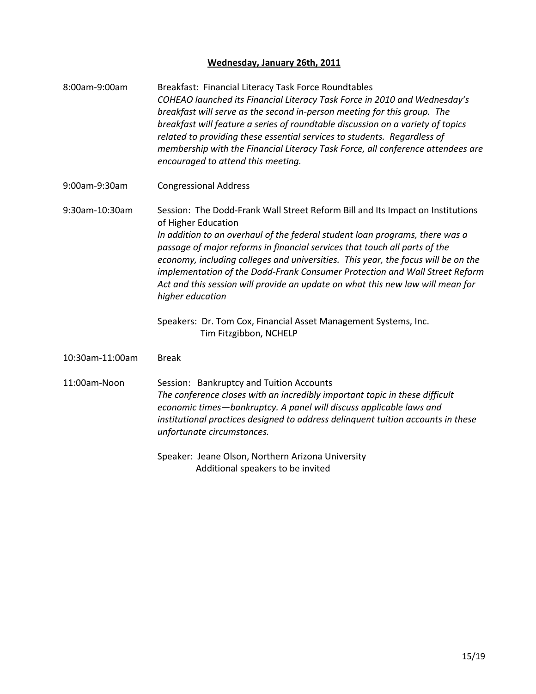### **Wednesday, January 26th, 2011**

| 8:00am-9:00am   | Breakfast: Financial Literacy Task Force Roundtables<br>COHEAO launched its Financial Literacy Task Force in 2010 and Wednesday's<br>breakfast will serve as the second in-person meeting for this group. The<br>breakfast will feature a series of roundtable discussion on a variety of topics<br>related to providing these essential services to students. Regardless of<br>membership with the Financial Literacy Task Force, all conference attendees are<br>encouraged to attend this meeting.                                                                                                                                      |
|-----------------|--------------------------------------------------------------------------------------------------------------------------------------------------------------------------------------------------------------------------------------------------------------------------------------------------------------------------------------------------------------------------------------------------------------------------------------------------------------------------------------------------------------------------------------------------------------------------------------------------------------------------------------------|
| 9:00am-9:30am   | <b>Congressional Address</b>                                                                                                                                                                                                                                                                                                                                                                                                                                                                                                                                                                                                               |
| 9:30am-10:30am  | Session: The Dodd-Frank Wall Street Reform Bill and Its Impact on Institutions<br>of Higher Education<br>In addition to an overhaul of the federal student loan programs, there was a<br>passage of major reforms in financial services that touch all parts of the<br>economy, including colleges and universities. This year, the focus will be on the<br>implementation of the Dodd-Frank Consumer Protection and Wall Street Reform<br>Act and this session will provide an update on what this new law will mean for<br>higher education<br>Speakers: Dr. Tom Cox, Financial Asset Management Systems, Inc.<br>Tim Fitzgibbon, NCHELP |
| 10:30am-11:00am | <b>Break</b>                                                                                                                                                                                                                                                                                                                                                                                                                                                                                                                                                                                                                               |
| 11:00am-Noon    | Session: Bankruptcy and Tuition Accounts<br>The conference closes with an incredibly important topic in these difficult<br>economic times-bankruptcy. A panel will discuss applicable laws and<br>institutional practices designed to address delinquent tuition accounts in these<br>unfortunate circumstances.<br>Speaker: Jeane Olson, Northern Arizona University                                                                                                                                                                                                                                                                      |
|                 |                                                                                                                                                                                                                                                                                                                                                                                                                                                                                                                                                                                                                                            |

Additional speakers to be invited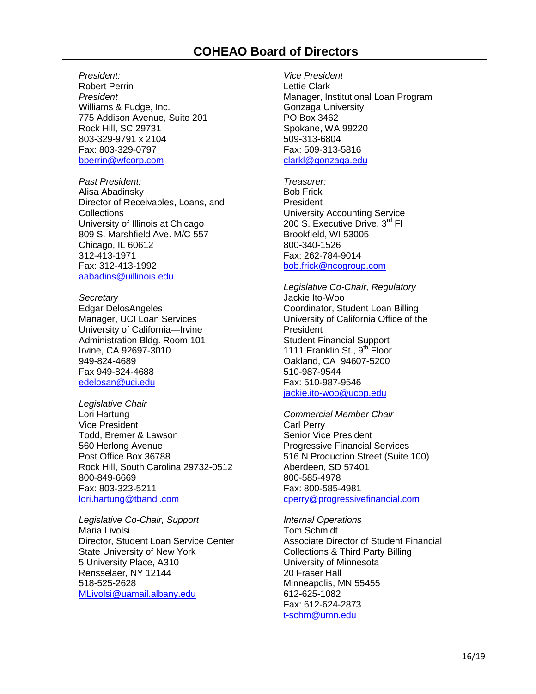*President:* Robert Perrin *President* Williams & Fudge, Inc. 775 Addison Avenue, Suite 201 Rock Hill, SC 29731 803-329-9791 x 2104 Fax: 803-329-0797 [bperrin@wfcorp.com](mailto:bperrin@wfcorp.com)

*Past President:* Alisa Abadinsky Director of Receivables, Loans, and **Collections** University of Illinois at Chicago 809 S. Marshfield Ave. M/C 557 Chicago, IL 60612 312-413-1971 Fax: 312-413-1992 [aabadins@uillinois.edu](mailto:aabadins@uillinois.edu)

*Secretary* Edgar DelosAngeles Manager, UCI Loan Services University of California—Irvine Administration Bldg. Room 101 Irvine, CA 92697-3010 949-824-4689 Fax 949-824-4688 edelosan@uci.edu

*Legislative Chair* Lori Hartung Vice President Todd, Bremer & Lawson 560 Herlong Avenue Post Office Box 36788 Rock Hill, South Carolina 29732-0512 800-849-6669 Fax: 803-323-5211

[lori.hartung@tbandl.com](mailto:lori.hartung@tbandl.com)

*Legislative Co-Chair, Support* Maria Livolsi Director, Student Loan Service Center State University of New York 5 University Place, A310 Rensselaer, NY 12144 518-525-2628 [MLivolsi@uamail.albany.edu](mailto:MLivolsi@uamail.albany.edu)

*Vice President* Lettie Clark Manager, Institutional Loan Program Gonzaga University PO Box 3462 Spokane, WA 99220 509-313-6804 Fax: 509-313-5816 [clarkl@gonzaga.edu](mailto:clarkl@gonzaga.edu)

*Treasurer:* Bob Frick **President** University Accounting Service 200 S. Executive Drive, 3<sup>rd</sup> Fl Brookfield, WI 53005 800-340-1526 Fax: 262-784-9014 [bob.frick@ncogroup.com](mailto:bob.frick@ncogroup.com)

*Legislative Co-Chair, Regulatory* Jackie Ito-Woo Coordinator, Student Loan Billing University of California Office of the President Student Financial Support 1111 Franklin St., 9<sup>th</sup> Floor Oakland, CA 94607-5200 510-987-9544 Fax: 510-987-9546 [jackie.ito-woo@ucop.edu](mailto:jackie.ito-woo@ucop.edu)

*Commercial Member Chair* Carl Perry Senior Vice President Progressive Financial Services 516 N Production Street (Suite 100) Aberdeen, SD 57401 800-585-4978 Fax: 800-585-4981 cperry@progressivefinancial.com

*Internal Operations* Tom Schmidt Associate Director of Student Financial Collections & Third Party Billing University of Minnesota 20 Fraser Hall Minneapolis, MN 55455 612-625-1082 Fax: 612-624-2873 [t-schm@umn.edu](mailto:t-schm@umn.edu)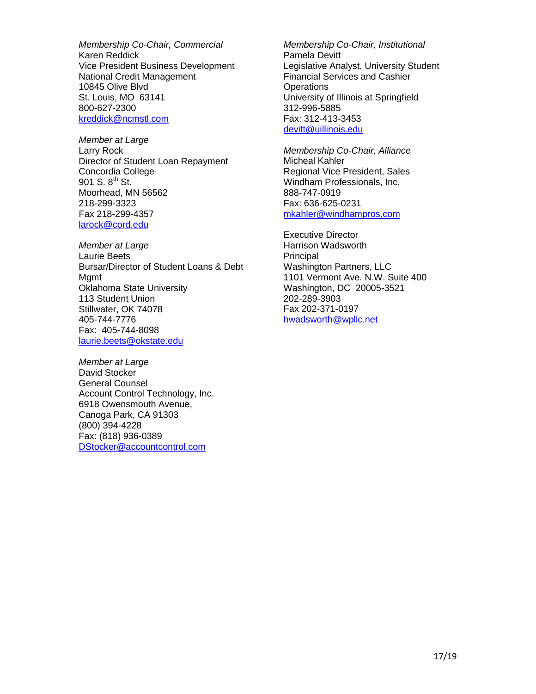*Membership Co-Chair, Commercial* Karen Reddick Vice President Business Development National Credit Management 10845 Olive Blvd St. Louis, MO 63141 800-627-2300 [kreddick@ncmstl.com](mailto:kreddick@ncmstl.com)

*Member at Large* Larry Rock Director of Student Loan Repayment Concordia College 901 S.  $8^{th}$  St. Moorhead, MN 56562 218-299-3323 Fax 218-299-4357 [larock@cord.edu](mailto:larock@cord.edu) 

*Member at Large* Laurie Beets Bursar/Director of Student Loans & Debt Mgmt Oklahoma State University 113 Student Union Stillwater, OK 74078 405-744-7776 Fax: 405-744-8098 [laurie.beets@okstate.edu](mailto:laurie.beets@okstate.edu)

*Member at Large* David Stocker General Counsel Account Control Technology, Inc. 6918 Owensmouth Avenue, Canoga Park, CA 91303 (800) 394-4228 Fax: (818) 936-0389 [DStocker@accountcontrol.com](mailto:DStocker@accountcontrol.com)

*Membership Co-Chair, Institutional* Pamela Devitt Legislative Analyst, University Student Financial Services and Cashier **Operations** University of Illinois at Springfield 312-996-5885 Fax: 312-413-3453 [devitt@uillinois.edu](mailto:devitt@uillinois.edu)

*Membership Co-Chair, Alliance*  Micheal Kahler Regional Vice President, Sales Windham Professionals, Inc. 888-747-0919 Fax: 636-625-0231 [mkahler@windhampros.com](mailto:mkahler@windhampros.com)

Executive Director Harrison Wadsworth Principal Washington Partners, LLC 1101 Vermont Ave. N.W. Suite 400 Washington, DC 20005-3521 202-289-3903 Fax 202-371-0197 [hwadsworth@wpllc.net](mailto:hwadsworth@wpllc.net)